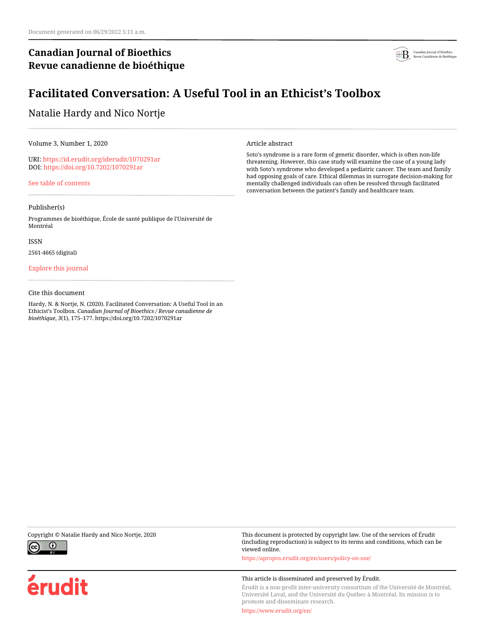# **Canadian Journal of Bioethics Revue canadienne de bioéthique**



# **Facilitated Conversation: A Useful Tool in an Ethicist's Toolbox**

## Natalie Hardy and Nico Nortje

Volume 3, Number 1, 2020

URI:<https://id.erudit.org/iderudit/1070291ar> DOI:<https://doi.org/10.7202/1070291ar>

[See table of contents](https://www.erudit.org/en/journals/bioethics/2020-v3-n1-bioethics05237/)

#### Publisher(s)

Programmes de bioéthique, École de santé publique de l'Université de Montréal

ISSN

2561-4665 (digital)

### [Explore this journal](https://www.erudit.org/en/journals/bioethics/)

#### Cite this document

Hardy, N. & Nortje, N. (2020). Facilitated Conversation: A Useful Tool in an Ethicist's Toolbox. *Canadian Journal of Bioethics / Revue canadienne de bioéthique*, *3*(1), 175–177. https://doi.org/10.7202/1070291ar

Article abstract

Soto's syndrome is a rare form of genetic disorder, which is often non-life threatening. However, this case study will examine the case of a young lady with Soto's syndrome who developed a pediatric cancer. The team and family had opposing goals of care. Ethical dilemmas in surrogate decision-making for mentally challenged individuals can often be resolved through facilitated conversation between the patient's family and healthcare team.



érudit

Copyright © Natalie Hardy and Nico Nortje, 2020 This document is protected by copyright law. Use of the services of Érudit (including reproduction) is subject to its terms and conditions, which can be viewed online.

<https://apropos.erudit.org/en/users/policy-on-use/>

#### This article is disseminated and preserved by Érudit.

Érudit is a non-profit inter-university consortium of the Université de Montréal, Université Laval, and the Université du Québec à Montréal. Its mission is to promote and disseminate research.

<https://www.erudit.org/en/>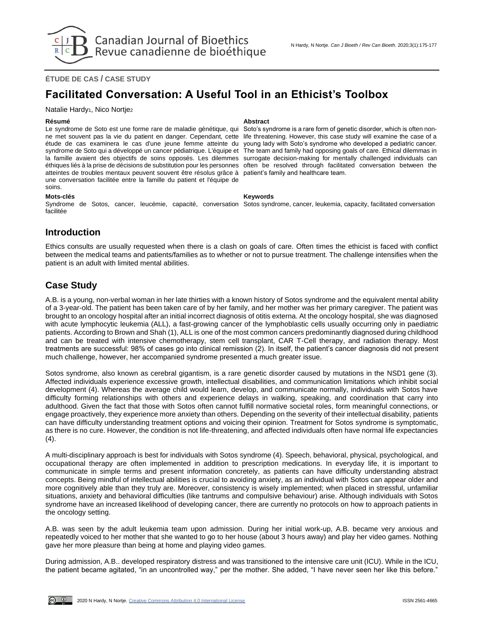

## **ÉTUDE DE CAS / CASE STUDY**

# **Facilitated Conversation: A Useful Tool in an Ethicist's Toolbox**

Natalie Hardy<sub>1</sub>, Nico Nortje<sub>2</sub>

Le syndrome de Soto est une forme rare de maladie génétique, qui ne met souvent pas la vie du patient en danger. Cependant, cette étude de cas examinera le cas d'une jeune femme atteinte du syndrome de Soto qui a développé un cancer pédiatrique. L'équipe et la famille avaient des objectifs de soins opposés. Les dilemmes éthiques liés à la prise de décisions de substitution pour les personnes often be resolved through facilitated conversation between the atteintes de troubles mentaux peuvent souvent être résolus grâce à une conversation facilitée entre la famille du patient et l'équipe de soins.

#### **Résumé Abstract**

Soto's syndrome is a rare form of genetic disorder, which is often nonlife threatening. However, this case study will examine the case of a young lady with Soto's syndrome who developed a pediatric cancer. The team and family had opposing goals of care. Ethical dilemmas in surrogate decision-making for mentally challenged individuals can patient's family and healthcare team.

### **Mots-clés Keywords**

Syndrome de Sotos, cancer, leucémie, capacité, conversation Sotos syndrome, cancer, leukemia, capacity, facilitated conversation facilitée

## **Introduction**

Ethics consults are usually requested when there is a clash on goals of care. Often times the ethicist is faced with conflict between the medical teams and patients/families as to whether or not to pursue treatment. The challenge intensifies when the patient is an adult with limited mental abilities.

## **Case Study**

A.B. is a young, non-verbal woman in her late thirties with a known history of Sotos syndrome and the equivalent mental ability of a 3-year-old. The patient has been taken care of by her family, and her mother was her primary caregiver. The patient was brought to an oncology hospital after an initial incorrect diagnosis of otitis externa. At the oncology hospital, she was diagnosed with acute lymphocytic leukemia (ALL), a fast-growing cancer of the lymphoblastic cells usually occurring only in paediatric patients. According to Brown and Shah (1), ALL is one of the most common cancers predominantly diagnosed during childhood and can be treated with intensive chemotherapy, stem cell transplant, CAR T-Cell therapy, and radiation therapy. Most treatments are successful: 98% of cases go into clinical remission (2). In itself, the patient's cancer diagnosis did not present much challenge, however, her accompanied syndrome presented a much greater issue.

Sotos syndrome, also known as cerebral gigantism, is a rare genetic disorder caused by mutations in the NSD1 gene (3). Affected individuals experience excessive growth, intellectual disabilities, and communication limitations which inhibit social development (4). Whereas the average child would learn, develop, and communicate normally, individuals with Sotos have difficulty forming relationships with others and experience delays in walking, speaking, and coordination that carry into adulthood. Given the fact that those with Sotos often cannot fulfill normative societal roles, form meaningful connections, or engage proactively, they experience more anxiety than others. Depending on the severity of their intellectual disability, patients can have difficulty understanding treatment options and voicing their opinion. Treatment for Sotos syndrome is symptomatic, as there is no cure. However, the condition is not life-threatening, and affected individuals often have normal life expectancies (4).

A multi-disciplinary approach is best for individuals with Sotos syndrome (4). Speech, behavioral, physical, psychological, and occupational therapy are often implemented in addition to prescription medications. In everyday life, it is important to communicate in simple terms and present information concretely, as patients can have difficulty understanding abstract concepts. Being mindful of intellectual abilities is crucial to avoiding anxiety, as an individual with Sotos can appear older and more cognitively able than they truly are. Moreover, consistency is wisely implemented; when placed in stressful, unfamiliar situations, anxiety and behavioral difficulties (like tantrums and compulsive behaviour) arise. Although individuals with Sotos syndrome have an increased likelihood of developing cancer, there are currently no protocols on how to approach patients in the oncology setting.

A.B. was seen by the adult leukemia team upon admission. During her initial work-up, A.B. became very anxious and repeatedly voiced to her mother that she wanted to go to her house (about 3 hours away) and play her video games. Nothing gave her more pleasure than being at home and playing video games.

During admission, A.B.. developed respiratory distress and was transitioned to the intensive care unit (ICU). While in the ICU, the patient became agitated, "in an uncontrolled way," per the mother. She added, "I have never seen her like this before."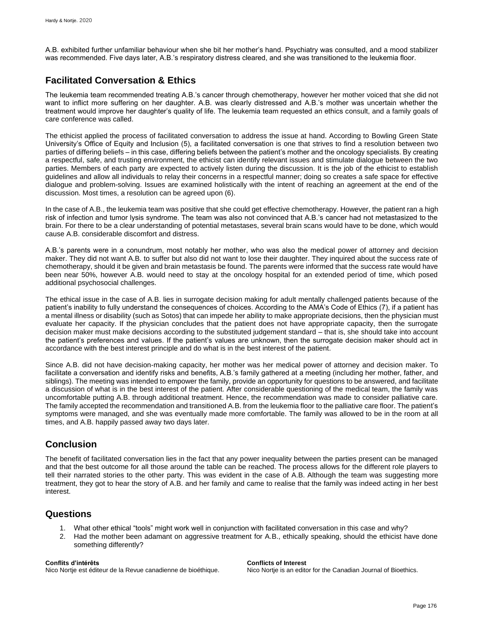A.B. exhibited further unfamiliar behaviour when she bit her mother's hand. Psychiatry was consulted, and a mood stabilizer was recommended. Five days later, A.B.'s respiratory distress cleared, and she was transitioned to the leukemia floor.

## **Facilitated Conversation & Ethics**

The leukemia team recommended treating A.B.'s cancer through chemotherapy, however her mother voiced that she did not want to inflict more suffering on her daughter. A.B. was clearly distressed and A.B.'s mother was uncertain whether the treatment would improve her daughter's quality of life. The leukemia team requested an ethics consult, and a family goals of care conference was called.

The ethicist applied the process of facilitated conversation to address the issue at hand. According to Bowling Green State University's Office of Equity and Inclusion (5), a facilitated conversation is one that strives to find a resolution between two parties of differing beliefs – in this case, differing beliefs between the patient's mother and the oncology specialists. By creating a respectful, safe, and trusting environment, the ethicist can identify relevant issues and stimulate dialogue between the two parties. Members of each party are expected to actively listen during the discussion. It is the job of the ethicist to establish guidelines and allow all individuals to relay their concerns in a respectful manner; doing so creates a safe space for effective dialogue and problem-solving. Issues are examined holistically with the intent of reaching an agreement at the end of the discussion. Most times, a resolution can be agreed upon (6).

In the case of A.B., the leukemia team was positive that she could get effective chemotherapy. However, the patient ran a high risk of infection and tumor lysis syndrome. The team was also not convinced that A.B.'s cancer had not metastasized to the brain. For there to be a clear understanding of potential metastases, several brain scans would have to be done, which would cause A.B. considerable discomfort and distress.

A.B.'s parents were in a conundrum, most notably her mother, who was also the medical power of attorney and decision maker. They did not want A.B. to suffer but also did not want to lose their daughter. They inquired about the success rate of chemotherapy, should it be given and brain metastasis be found. The parents were informed that the success rate would have been near 50%, however A.B. would need to stay at the oncology hospital for an extended period of time, which posed additional psychosocial challenges.

The ethical issue in the case of A.B. lies in surrogate decision making for adult mentally challenged patients because of the patient's inability to fully understand the consequences of choices. According to the AMA's Code of Ethics (7), if a patient has a mental illness or disability (such as Sotos) that can impede her ability to make appropriate decisions, then the physician must evaluate her capacity. If the physician concludes that the patient does not have appropriate capacity, then the surrogate decision maker must make decisions according to the substituted judgement standard – that is, she should take into account the patient's preferences and values. If the patient's values are unknown, then the surrogate decision maker should act in accordance with the best interest principle and do what is in the best interest of the patient.

Since A.B. did not have decision-making capacity, her mother was her medical power of attorney and decision maker. To facilitate a conversation and identify risks and benefits, A.B.'s family gathered at a meeting (including her mother, father, and siblings). The meeting was intended to empower the family, provide an opportunity for questions to be answered, and facilitate a discussion of what is in the best interest of the patient. After considerable questioning of the medical team, the family was uncomfortable putting A.B. through additional treatment. Hence, the recommendation was made to consider palliative care. The family accepted the recommendation and transitioned A.B. from the leukemia floor to the palliative care floor. The patient's symptoms were managed, and she was eventually made more comfortable. The family was allowed to be in the room at all times, and A.B. happily passed away two days later.

## **Conclusion**

The benefit of facilitated conversation lies in the fact that any power inequality between the parties present can be managed and that the best outcome for all those around the table can be reached. The process allows for the different role players to tell their narrated stories to the other party. This was evident in the case of A.B. Although the team was suggesting more treatment, they got to hear the story of A.B. and her family and came to realise that the family was indeed acting in her best interest.

## **Questions**

- 1. What other ethical "tools" might work well in conjunction with facilitated conversation in this case and why?
- 2. Had the mother been adamant on aggressive treatment for A.B., ethically speaking, should the ethicist have done something differently?

**Conflits d'intérêts Conflicts of Interest** Nico Nortje est éditeur de la Revue canadienne de bioéthique.